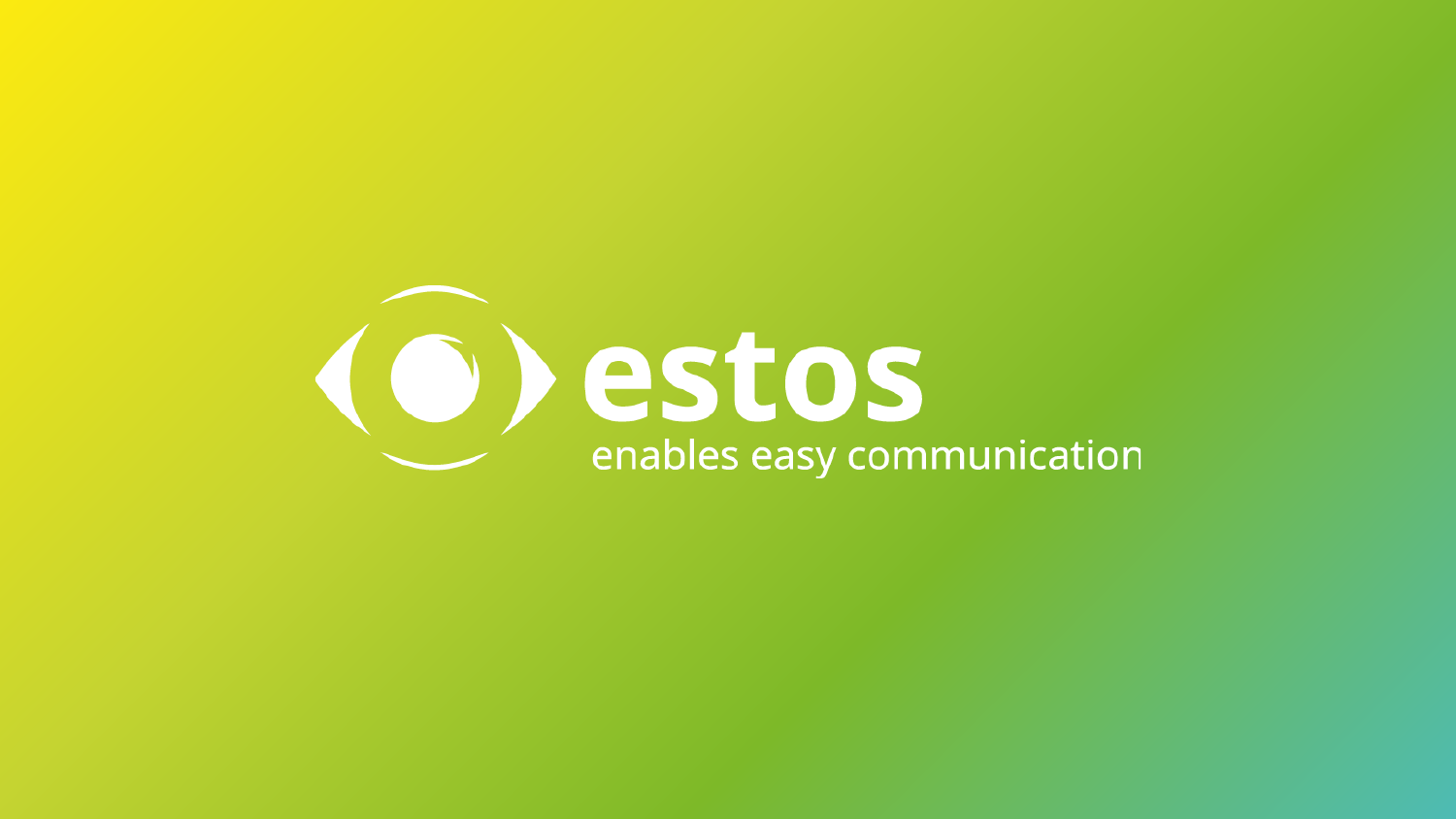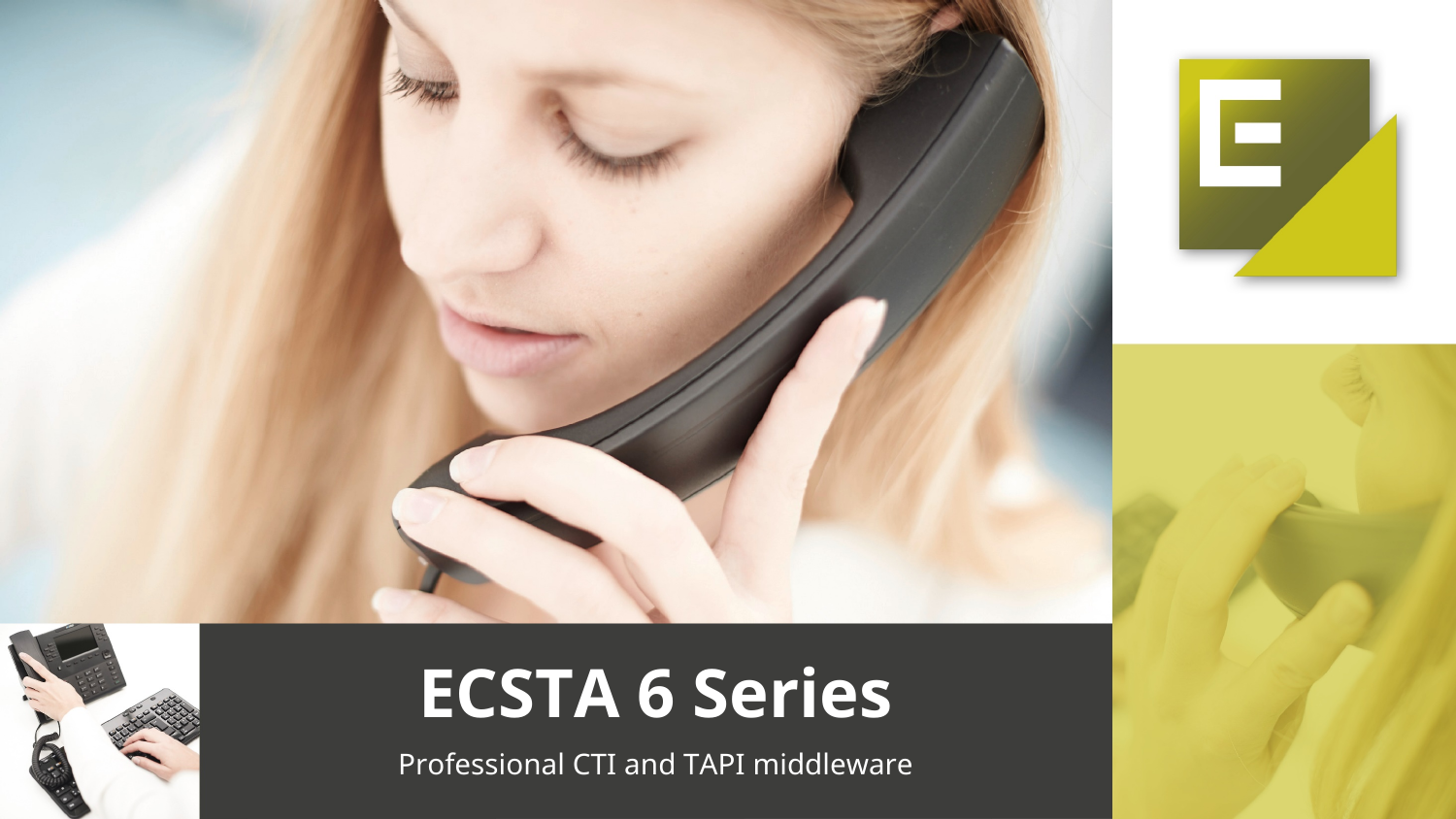



# **ECSTA 6 Series**

Professional CTI and TAPI middleware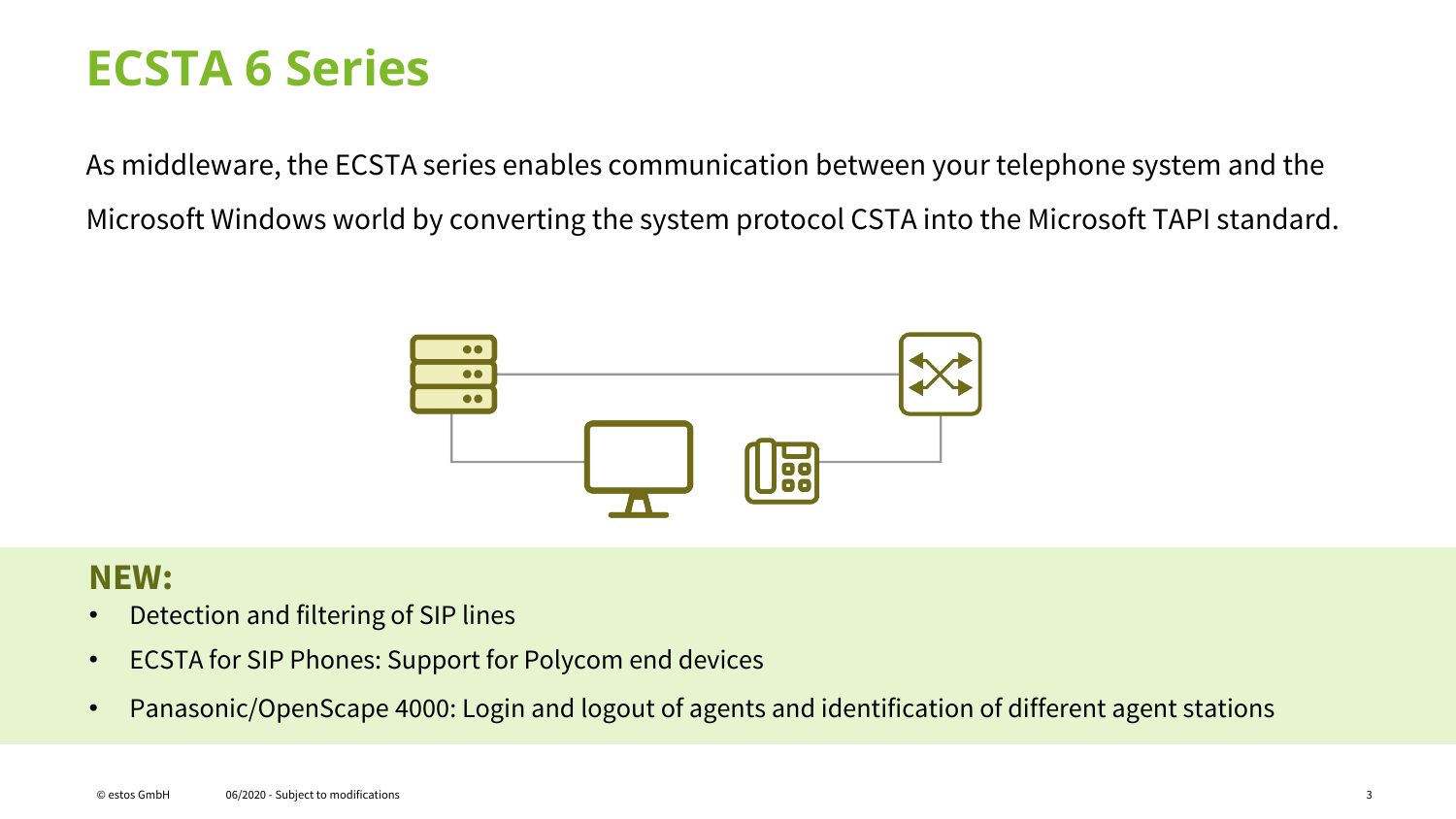### **ECSTA 6 Series**

As middleware, the ECSTA series enables communication between your telephone system and the Microsoft Windows world by converting the system protocol CSTA into the Microsoft TAPI standard.



### **NEW:**

- Detection and filtering of SIP lines
- ECSTA for SIP Phones: Support for Polycom end devices
- Panasonic/OpenScape 4000: Login and logout of agents and identification of different agent stations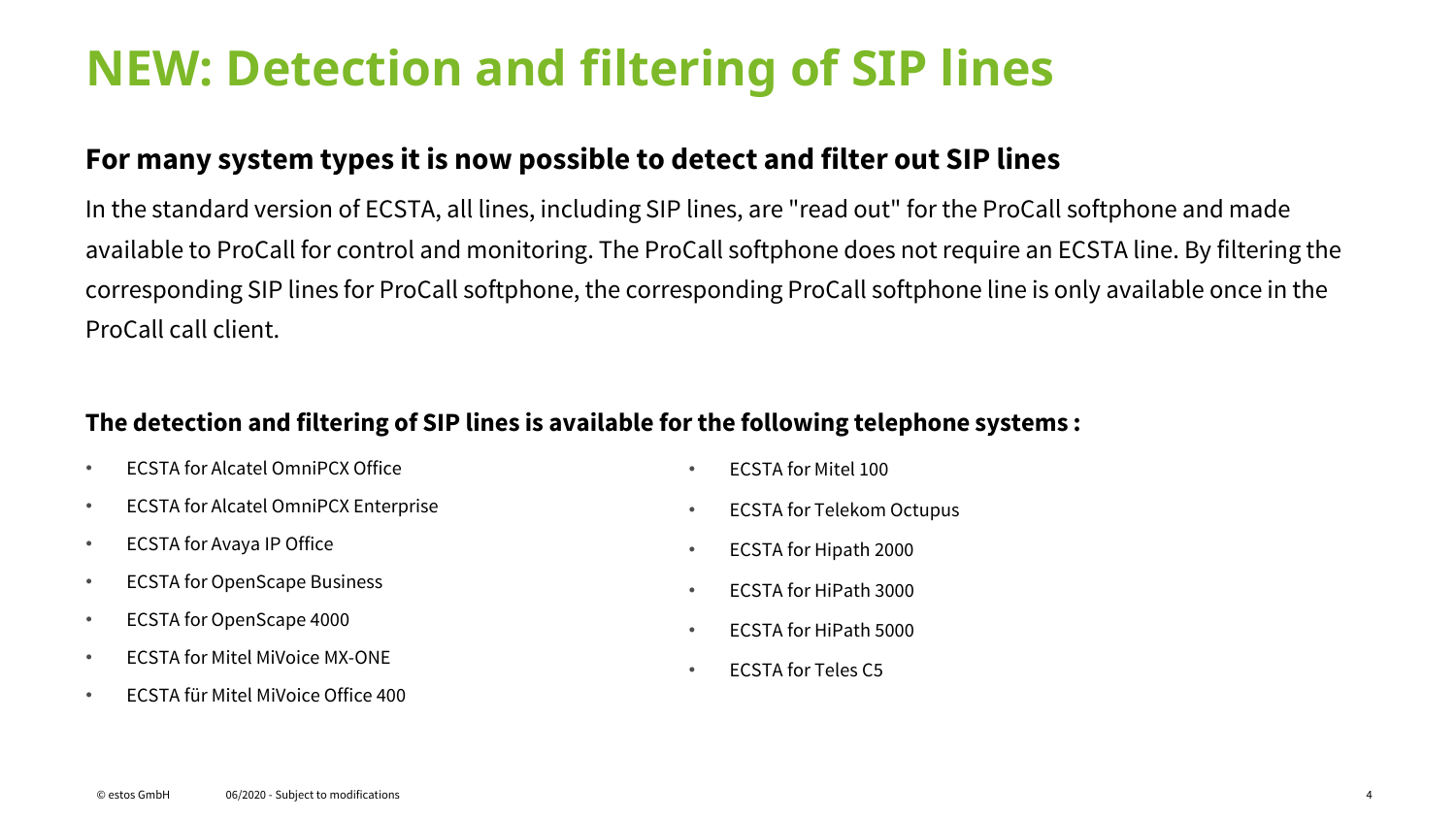### **NEW: Detection and filtering of SIP lines**

### **For many system types it is now possible to detect and filter out SIP lines**

In the standard version of ECSTA, all lines, including SIP lines, are "read out" for the ProCall softphone and made available to ProCall for control and monitoring. The ProCall softphone does not require an ECSTA line. By filtering the corresponding SIP lines for ProCall softphone, the corresponding ProCall softphone line is only available once in the ProCall call client.

#### **The detection and filtering of SIP lines is available for the following telephone systems :**

- ECSTA for Alcatel OmniPCX Office
- ECSTA for Alcatel OmniPCX Enterprise
- ECSTA for Avaya IP Office
- ECSTA for OpenScape Business
- ECSTA for OpenScape 4000
- ECSTA for Mitel MiVoice MX-ONE
- ECSTA für Mitel MiVoice Office 400
- ECSTA for Mitel 100
- ECSTA for Telekom Octupus
- ECSTA for Hipath 2000
- ECSTA for HiPath 3000
- ECSTA for HiPath 5000
- ECSTA for Teles C5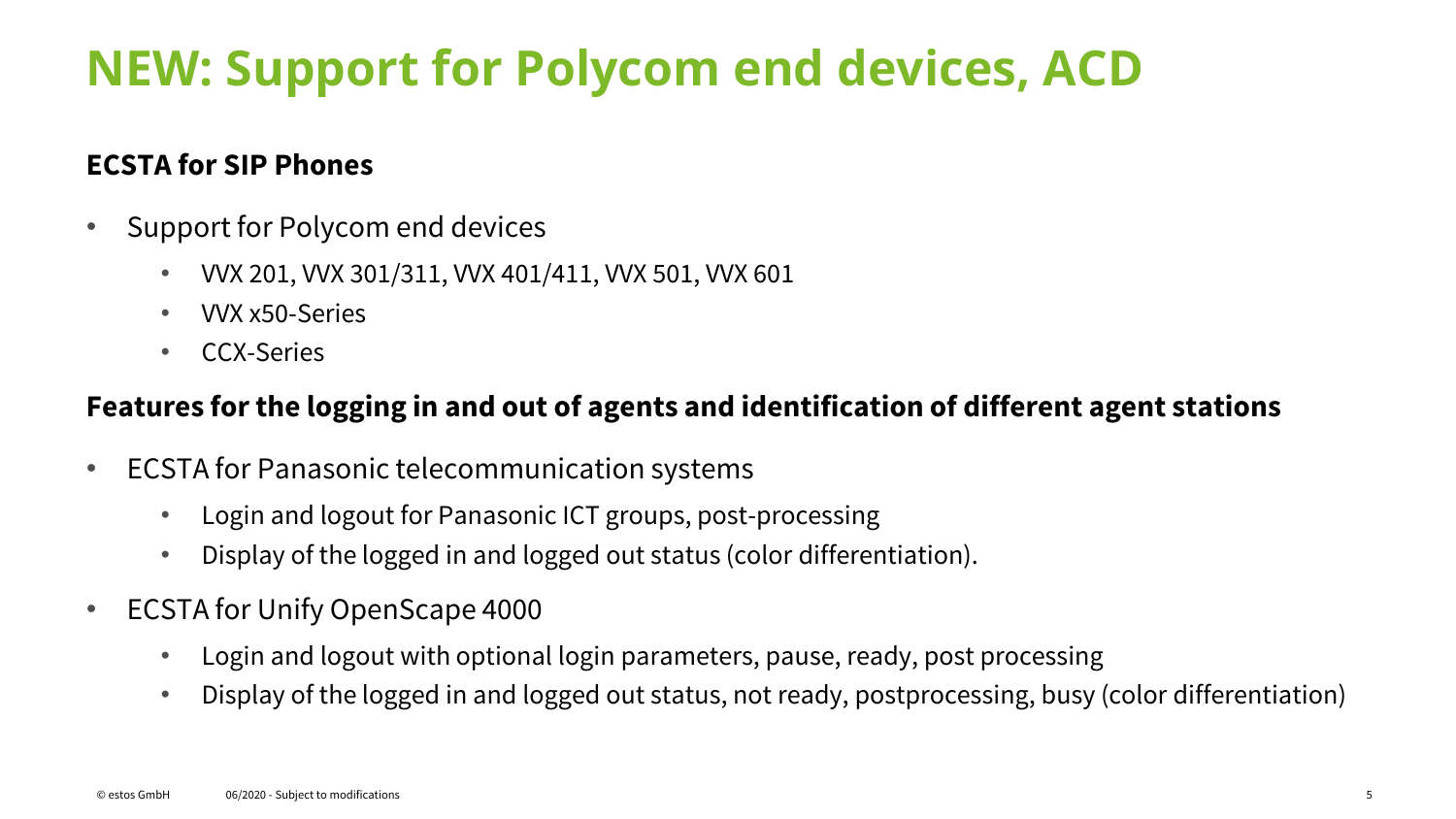### **NEW: Support for Polycom end devices, ACD**

### **ECSTA for SIP Phones**

- Support for Polycom end devices
	- VVX 201, VVX 301/311, VVX 401/411, VVX 501, VVX 601
	- VVX x50-Series
	- CCX-Series

### **Features for the logging in and out of agents and identification of different agent stations**

- ECSTA for Panasonic telecommunication systems
	- Login and logout for Panasonic ICT groups, post-processing
	- Display of the logged in and logged out status (color differentiation).
- ECSTA for Unify OpenScape 4000
	- Login and logout with optional login parameters, pause, ready, post processing
	- Display of the logged in and logged out status, not ready, postprocessing, busy (color differentiation)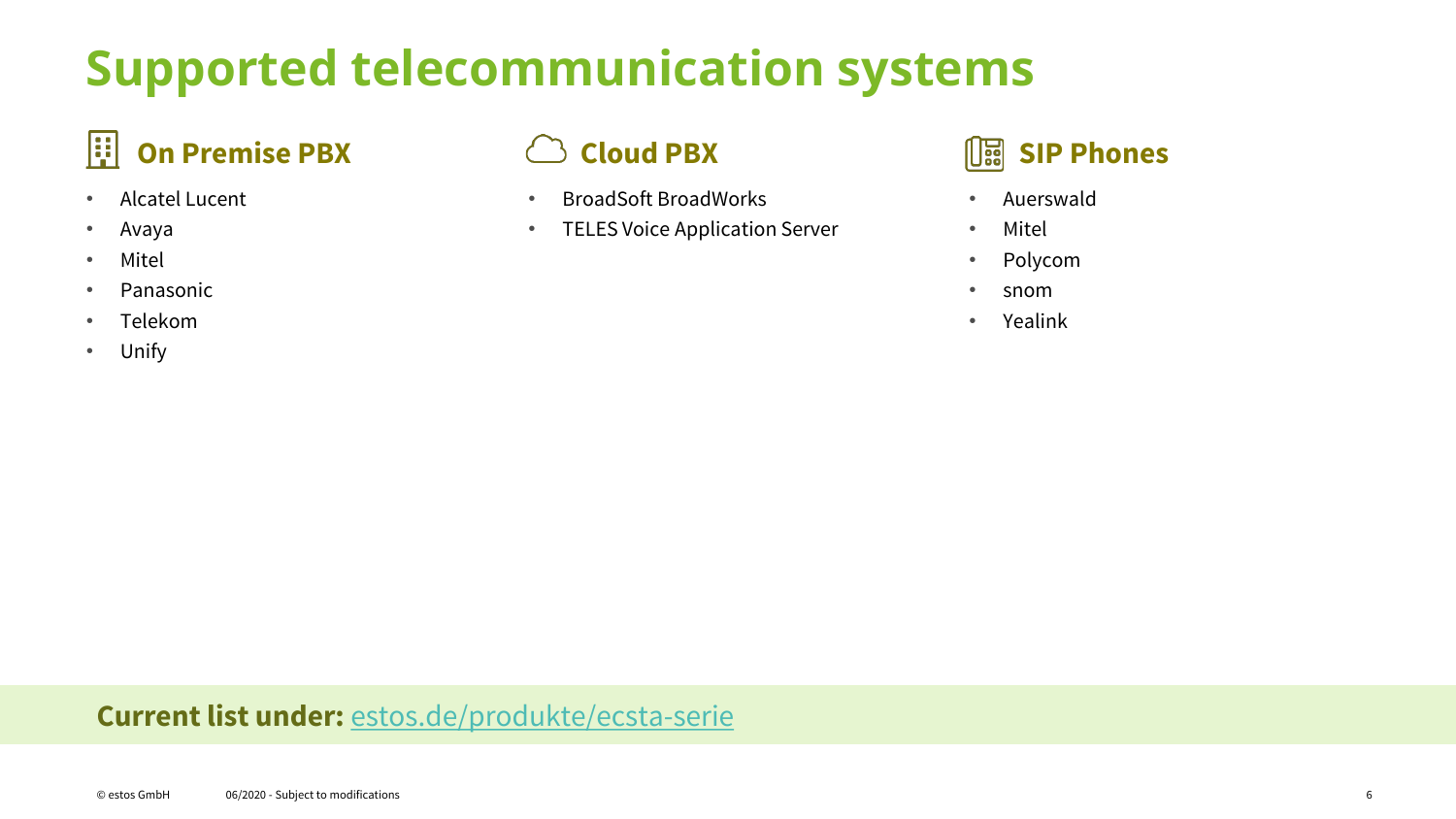## **Supported telecommunication systems**

### **On Premise PBX Cloud PBX SIP Phones**

- Alcatel Lucent
- Avaya
- Mitel
- Panasonic
- Telekom
- Unify

- BroadSoft BroadWorks
- TELES Voice Application Server



- Auerswald
- Mitel
- Polycom
- snom
- Yealink

### **Current list under:** [estos.de/produkte/ecsta-serie](https://www.estos.de/produkte/ecsta-serie)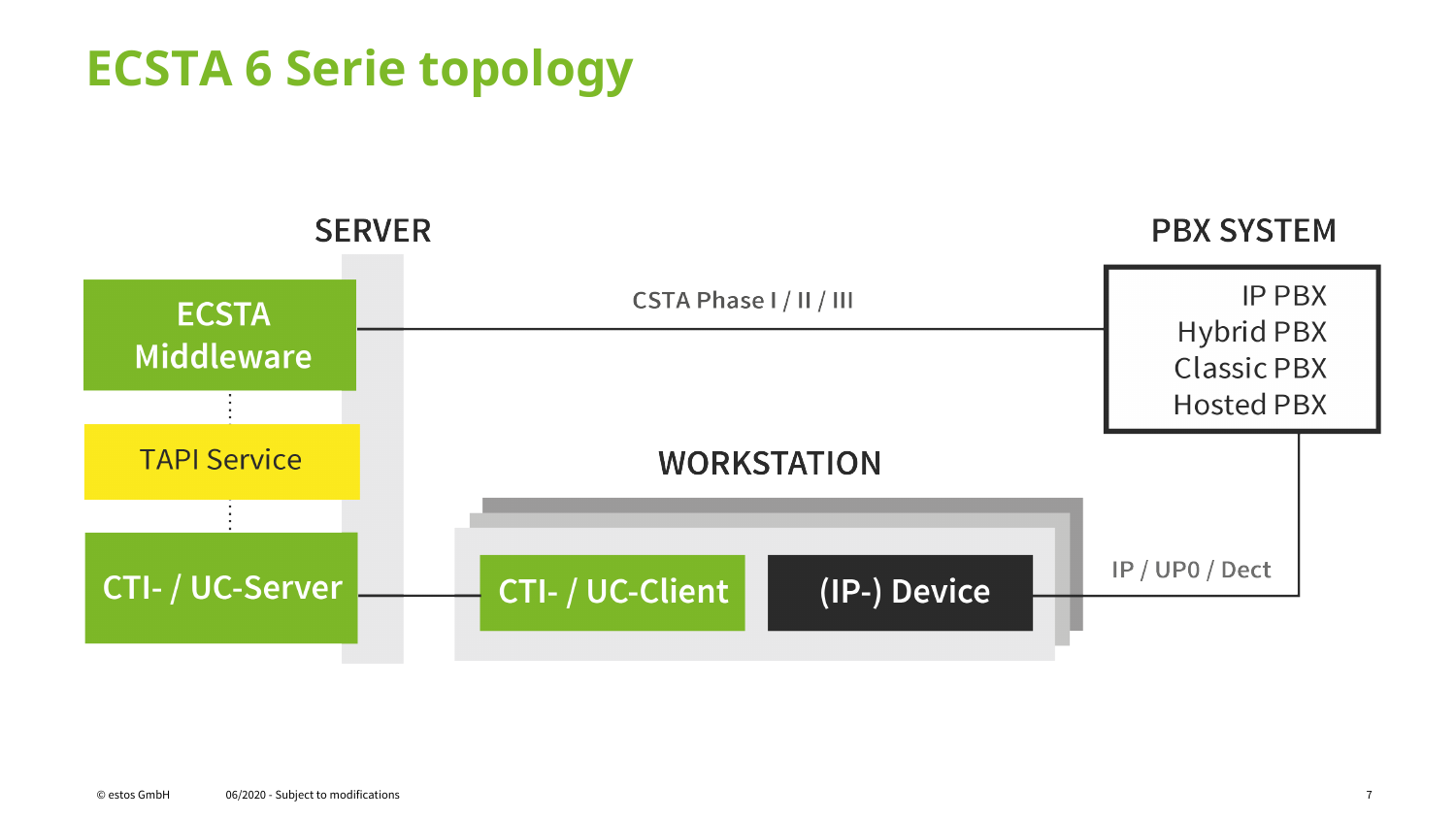

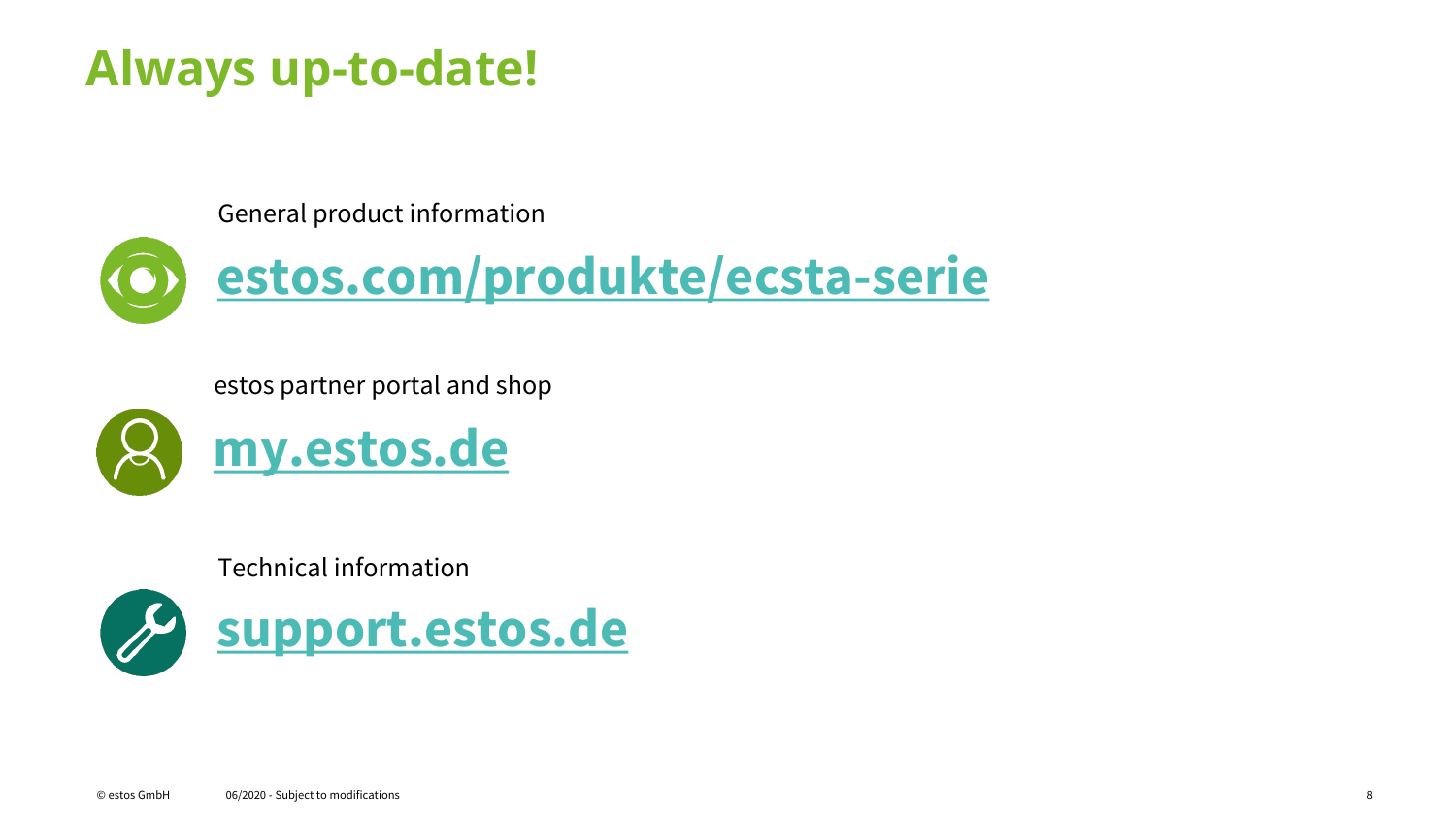### **Always up-to-date!**

General product information



estos partner portal and shop



Technical information